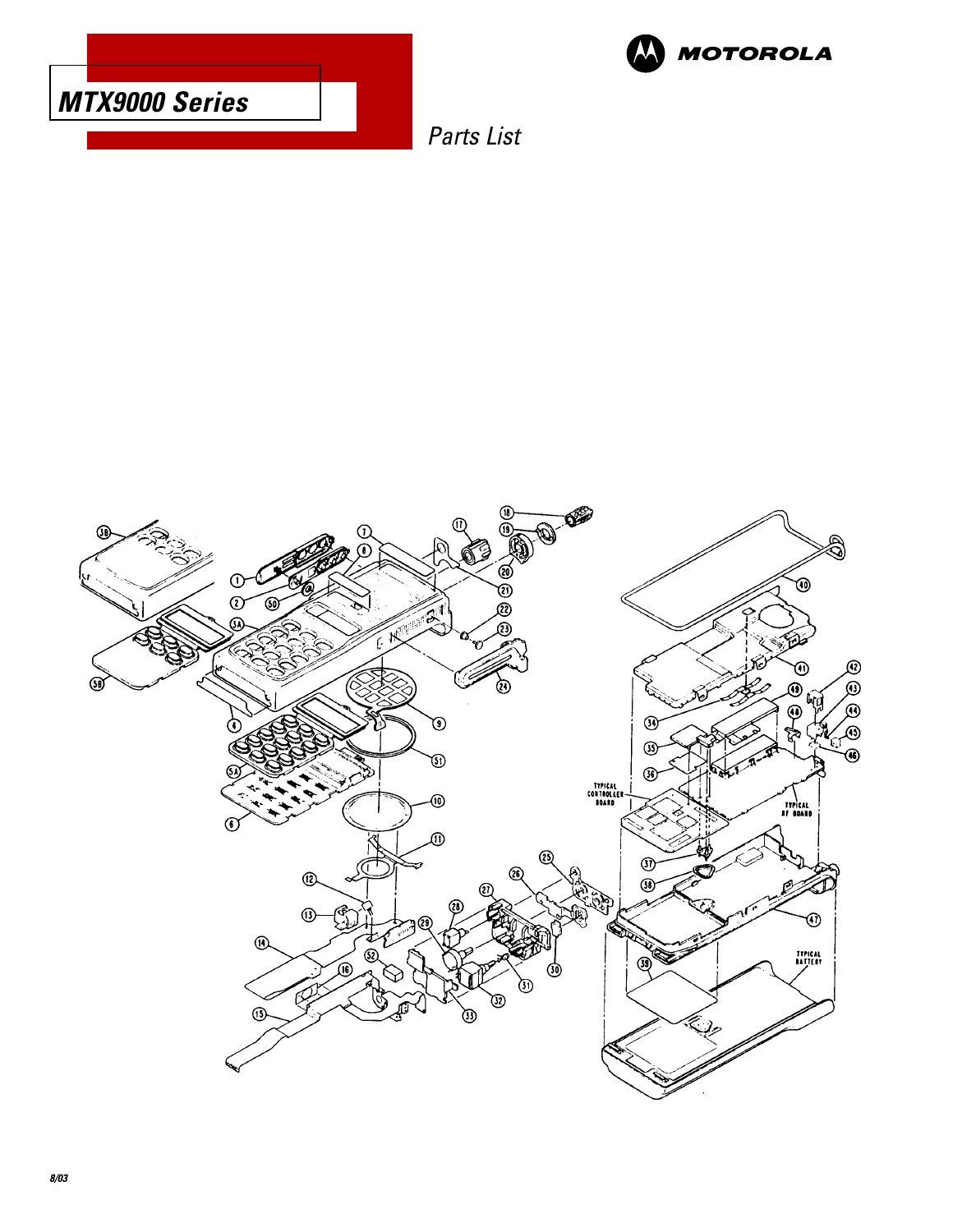



Parts List

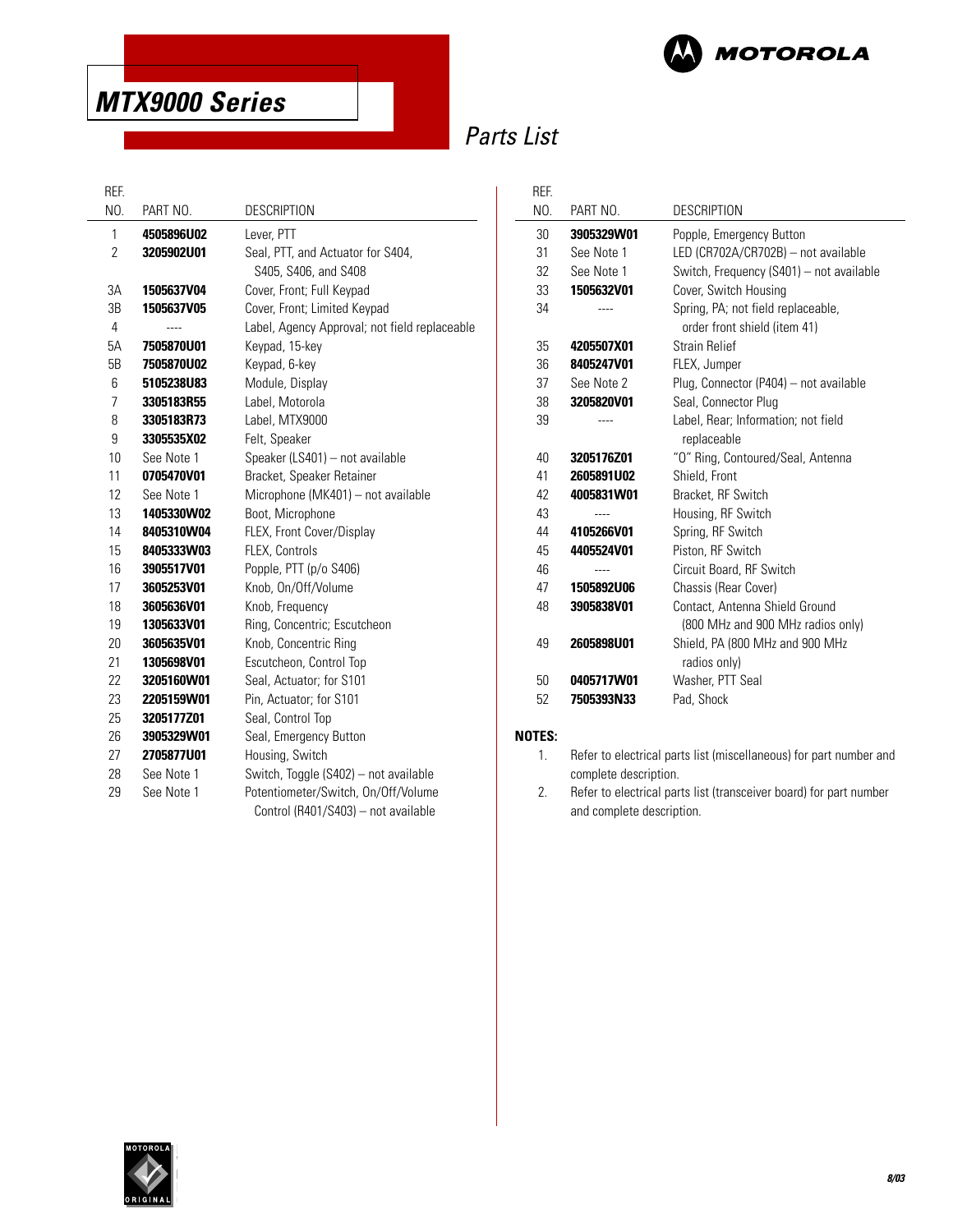

## Parts List

| PART NO.   | <b>DESCRIPTION</b>                            |
|------------|-----------------------------------------------|
| 4505896U02 | Lever, PTT                                    |
| 3205902U01 | Seal, PTT, and Actuator for S404,             |
|            | S405, S406, and S408                          |
| 1505637V04 | Cover, Front; Full Keypad                     |
| 1505637V05 | Cover, Front; Limited Keypad                  |
|            | Label, Agency Approval; not field replaceable |
| 7505870U01 | Keypad, 15-key                                |
| 7505870U02 | Keypad, 6-key                                 |
| 5105238U83 | Module, Display                               |
| 3305183R55 | Label, Motorola                               |
| 3305183R73 | Label, MTX9000                                |
| 3305535X02 | Felt, Speaker                                 |
| See Note 1 | Speaker (LS401) - not available               |
| 0705470V01 | Bracket, Speaker Retainer                     |
| See Note 1 | Microphone (MK401) - not available            |
| 1405330W02 | Boot, Microphone                              |
| 8405310W04 | FLEX, Front Cover/Display                     |
| 8405333W03 | FLEX, Controls                                |
| 3905517V01 | Popple, PTT (p/o S406)                        |
| 3605253V01 | Knob, On/Off/Volume                           |
| 3605636V01 | Knob, Frequency                               |
| 1305633V01 | Ring, Concentric; Escutcheon                  |
| 3605635V01 | Knob, Concentric Ring                         |
| 1305698V01 | Escutcheon, Control Top                       |
| 3205160W01 | Seal, Actuator; for S101                      |
| 2205159W01 | Pin, Actuator; for S101                       |
| 3205177Z01 | Seal, Control Top                             |
| 3905329W01 | Seal, Emergency Button                        |
| 2705877U01 | Housing, Switch                               |
| See Note 1 | Switch, Toggle (S402) - not available         |
| See Note 1 | Potentiometer/Switch, On/Off/Volume           |
|            | Control (R401/S403) - not available           |
|            |                                               |

| REF. |                   |                                                                     |  |
|------|-------------------|---------------------------------------------------------------------|--|
| NO.  | PART NO.          | <b>DESCRIPTION</b>                                                  |  |
| 30   | 3905329W01        | Popple, Emergency Button                                            |  |
| 31   | See Note 1        | LED (CR702A/CR702B) - not available                                 |  |
| 32   | See Note 1        | Switch, Frequency (S401) – not available                            |  |
| 33   | 1505632V01        | Cover, Switch Housing                                               |  |
| 34   |                   | Spring, PA; not field replaceable,<br>order front shield (item 41)  |  |
| 35   | 4205507X01        | Strain Relief                                                       |  |
| 36   | 8405247V01        | FLEX, Jumper                                                        |  |
| 37   | See Note 2        | Plug, Connector (P404) - not available                              |  |
| 38   | 3205820V01        | Seal, Connector Plug                                                |  |
| 39   |                   | Label, Rear; Information; not field<br>replaceable                  |  |
| 40   | 3205176Z01        | "O" Ring, Contoured/Seal, Antenna                                   |  |
| 41   | 2605891U02        | Shield, Front                                                       |  |
| 42   | 4005831W01        | Bracket, RF Switch                                                  |  |
| 43   |                   | Housing, RF Switch                                                  |  |
| 44   | 4105266V01        | Spring, RF Switch                                                   |  |
| 45   | 4405524V01        | Piston, RF Switch                                                   |  |
| 46   |                   | Circuit Board, RF Switch                                            |  |
| 47   | <b>1505892U06</b> | Chassis (Rear Cover)                                                |  |
| 48   | 3905838V01        | Contact. Antenna Shield Ground<br>(800 MHz and 900 MHz radios only) |  |
| 49   | 2605898U01        | Shield, PA (800 MHz and 900 MHz<br>radios only)                     |  |
| 50   | 0405717W01        | Washer, PTT Seal                                                    |  |
| 52   | 7505393N33        | Pad, Shock                                                          |  |
|      |                   |                                                                     |  |

#### **NOTES:**

- 1. Refer to electrical parts list (miscellaneous) for part number and complete description.
- 2. Refer to electrical parts list (transceiver board) for part number and complete description.

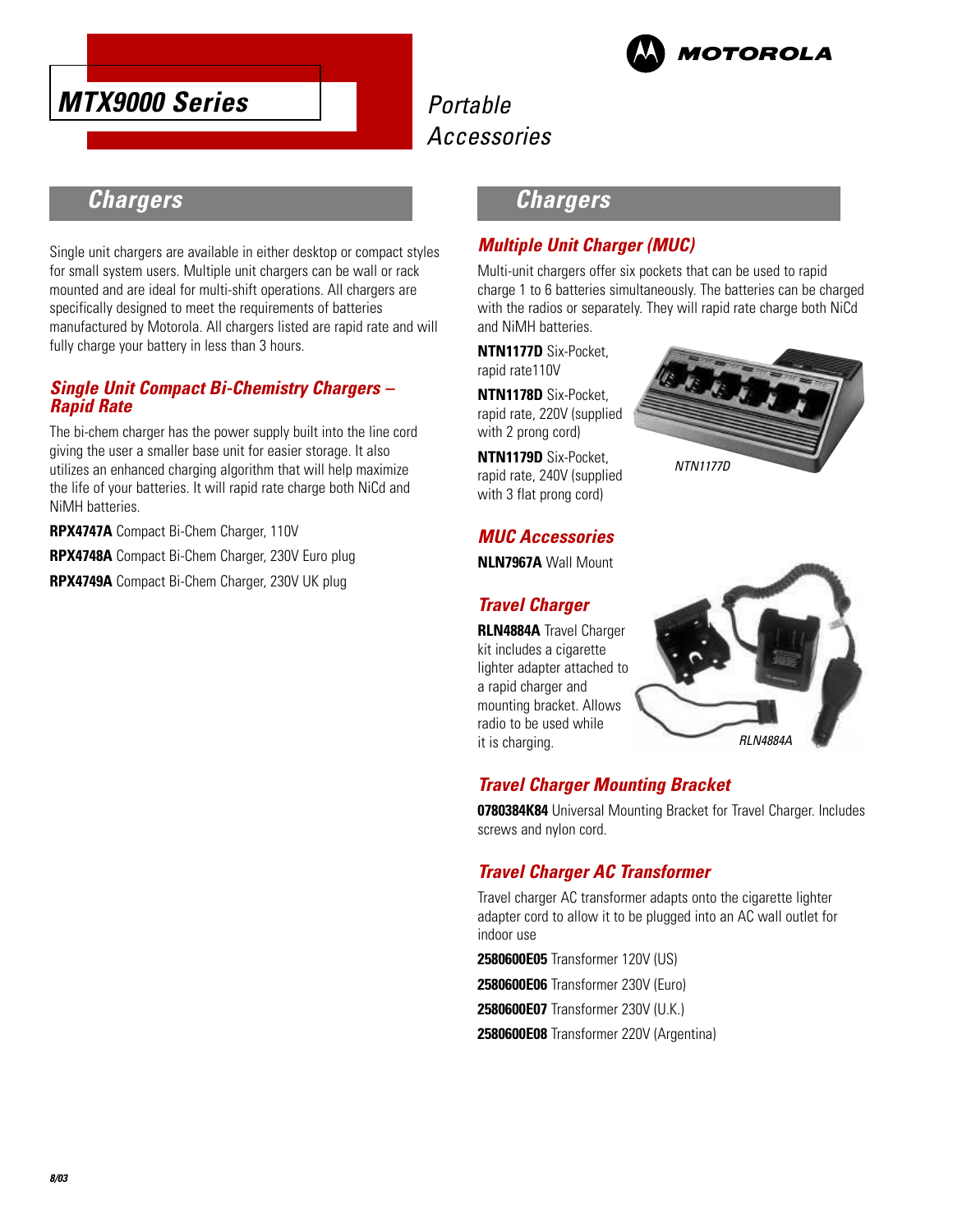



### **Chargers**

Single unit chargers are available in either desktop or compact styles for small system users. Multiple unit chargers can be wall or rack mounted and are ideal for multi-shift operations. All chargers are specifically designed to meet the requirements of batteries manufactured by Motorola. All chargers listed are rapid rate and will fully charge your battery in less than 3 hours.

#### **Single Unit Compact Bi-Chemistry Chargers – Rapid Rate**

The bi-chem charger has the power supply built into the line cord giving the user a smaller base unit for easier storage. It also utilizes an enhanced charging algorithm that will help maximize the life of your batteries. It will rapid rate charge both NiCd and NiMH batteries.

**RPX4747A** Compact Bi-Chem Charger, 110V

**RPX4748A** Compact Bi-Chem Charger, 230V Euro plug

**RPX4749A** Compact Bi-Chem Charger, 230V UK plug

### **Chargers**

### **Multiple Unit Charger (MUC)**

Multi-unit chargers offer six pockets that can be used to rapid charge 1 to 6 batteries simultaneously. The batteries can be charged with the radios or separately. They will rapid rate charge both NiCd and NiMH batteries.

**NTN1177D** Six-Pocket, rapid rate110V

**NTN1178D** Six-Pocket, rapid rate, 220V (supplied with 2 prong cord)

**NTN1179D** Six-Pocket, rapid rate, 240V (supplied with 3 flat prong cord)



### **MUC Accessories**

**NLN7967A** Wall Mount

### **Travel Charger**

**RLN4884A** Travel Charger kit includes a cigarette lighter adapter attached to a rapid charger and mounting bracket. Allows radio to be used while it is charging.



### **Travel Charger Mounting Bracket**

**0780384K84** Universal Mounting Bracket for Travel Charger. Includes screws and nylon cord.

### **Travel Charger AC Transformer**

Travel charger AC transformer adapts onto the cigarette lighter adapter cord to allow it to be plugged into an AC wall outlet for indoor use

**2580600E05** Transformer 120V (US)

**2580600E06** Transformer 230V (Euro)

**2580600E07** Transformer 230V (U.K.)

**2580600E08** Transformer 220V (Argentina)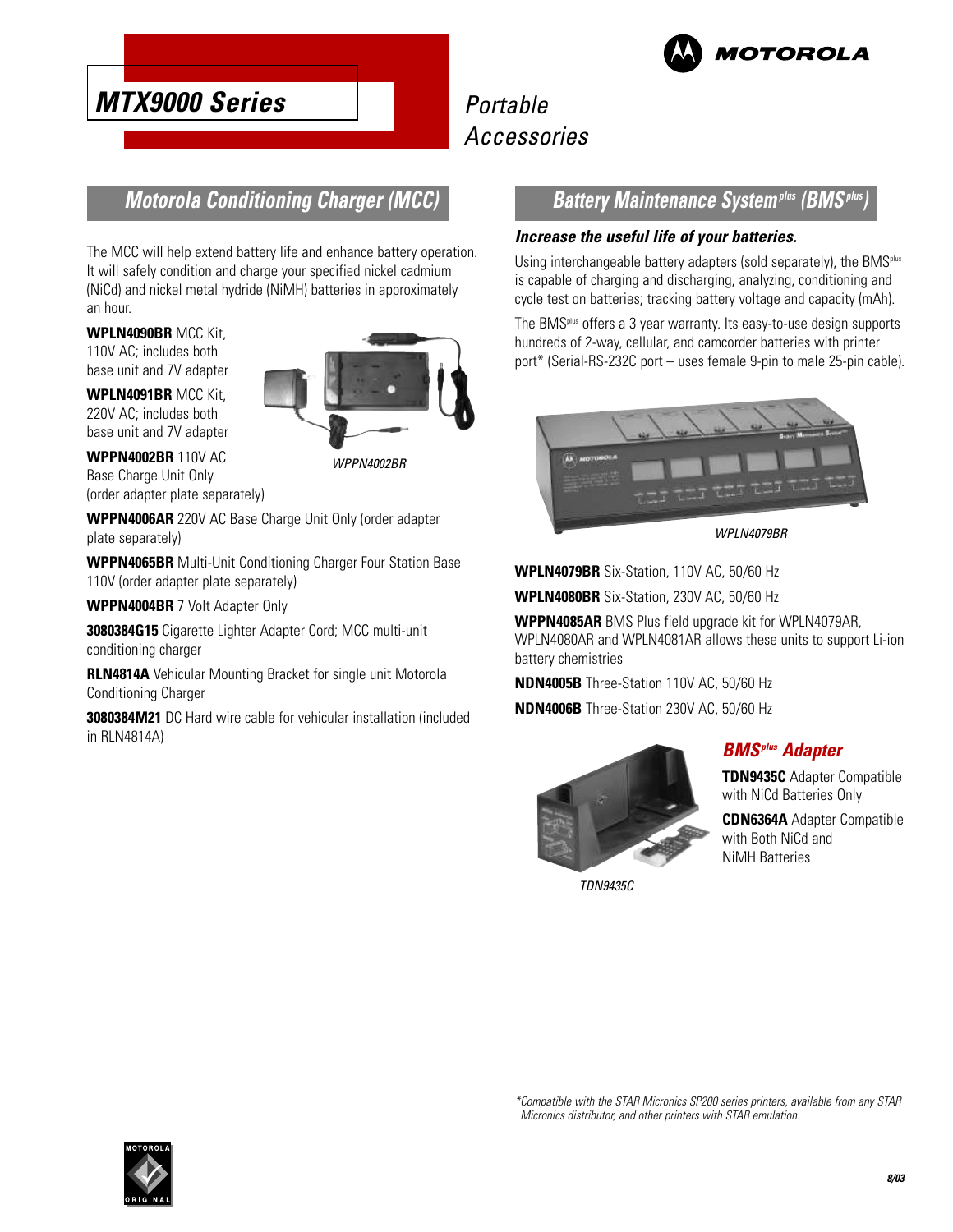

## Portable Accessories

### **Motorola Conditioning Charger (MCC)**

The MCC will help extend battery life and enhance battery operation. It will safely condition and charge your specified nickel cadmium (NiCd) and nickel metal hydride (NiMH) batteries in approximately an hour.

**WPLN4090BR** MCC Kit, 110V AC; includes both base unit and 7V adapter

**WPLN4091BR** MCC Kit, 220V AC; includes both base unit and 7V adapter

**WPPN4002BR** 110V AC Base Charge Unit Only (order adapter plate separately)

**WPPN4006AR** 220V AC Base Charge Unit Only (order adapter plate separately)

**WPPN4065BR** Multi-Unit Conditioning Charger Four Station Base 110V (order adapter plate separately)

**WPPN4004BR** 7 Volt Adapter Only

**3080384G15** Cigarette Lighter Adapter Cord; MCC multi-unit conditioning charger

**RLN4814A** Vehicular Mounting Bracket for single unit Motorola Conditioning Charger

**3080384M21** DC Hard wire cable for vehicular installation (included in RLN4814A)

### **Battery Maintenance System<sup>plus</sup> (BMS<sup></sup>)**

#### **Increase the useful life of your batteries.**

Using interchangeable battery adapters (sold separately), the BMS<sup>plus</sup> is capable of charging and discharging, analyzing, conditioning and cycle test on batteries; tracking battery voltage and capacity (mAh).

The BMSplus offers a 3 year warranty. Its easy-to-use design supports hundreds of 2-way, cellular, and camcorder batteries with printer port\* (Serial-RS-232C port – uses female 9-pin to male 25-pin cable).



WPLN4079BR

**WPLN4079BR** Six-Station, 110V AC, 50/60 Hz

**WPLN4080BR** Six-Station, 230V AC, 50/60 Hz

**WPPN4085AR** BMS Plus field upgrade kit for WPLN4079AR, WPLN4080AR and WPLN4081AR allows these units to support Li-ion battery chemistries

**NDN4005B** Three-Station 110V AC, 50/60 Hz

**NDN4006B** Three-Station 230V AC, 50/60 Hz



TDN9435C



**TDN9435C** Adapter Compatible with NiCd Batteries Only

**CDN6364A** Adapter Compatible with Both NiCd and NiMH Batteries



\*Compatible with the STAR Micronics SP200 series printers, available from any STAR Micronics distributor, and other printers with STAR emulation.

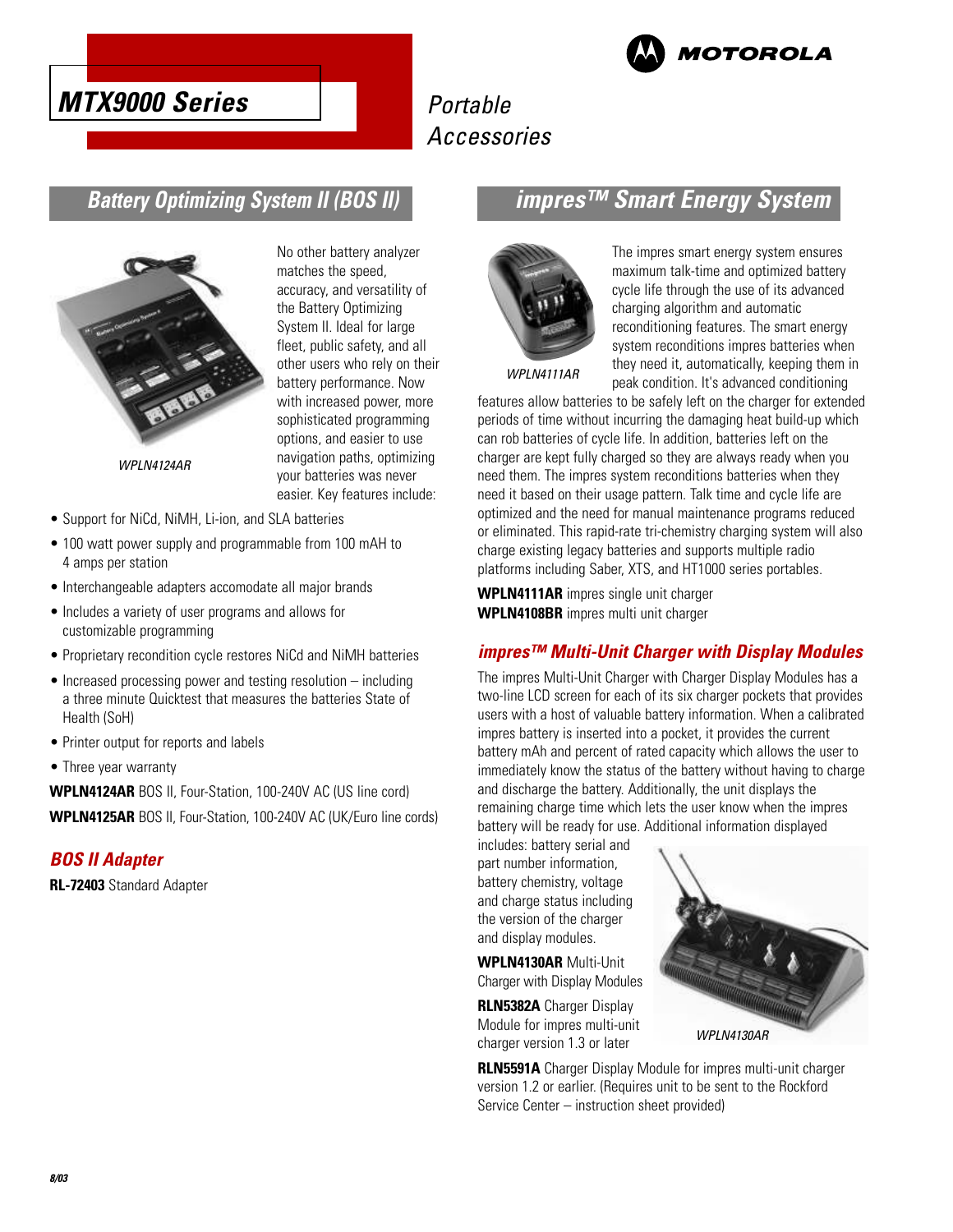



### **Battery Optimizing System II (BOS II)**



WPLN4124AR

No other battery analyzer matches the speed, accuracy, and versatility of the Battery Optimizing System II. Ideal for large fleet, public safety, and all other users who rely on their battery performance. Now with increased power, more sophisticated programming options, and easier to use navigation paths, optimizing your batteries was never easier. Key features include:

- Support for NiCd, NiMH, Li-ion, and SLA batteries
- 100 watt power supply and programmable from 100 mAH to 4 amps per station
- Interchangeable adapters accomodate all major brands
- Includes a variety of user programs and allows for customizable programming
- Proprietary recondition cycle restores NiCd and NiMH batteries
- Increased processing power and testing resolution including a three minute Quicktest that measures the batteries State of Health (SoH)
- Printer output for reports and labels
- Three year warranty

**WPLN4124AR** BOS II, Four-Station, 100-240V AC (US line cord) **WPLN4125AR** BOS II, Four-Station, 100-240V AC (UK/Euro line cords)

### **BOS II Adapter**

**RL-72403** Standard Adapter

### **impres™ Smart Energy System**



The impres smart energy system ensures maximum talk-time and optimized battery cycle life through the use of its advanced charging algorithm and automatic reconditioning features. The smart energy system reconditions impres batteries when they need it, automatically, keeping them in peak condition. It's advanced conditioning

WPLN4111AR

features allow batteries to be safely left on the charger for extended periods of time without incurring the damaging heat build-up which can rob batteries of cycle life. In addition, batteries left on the charger are kept fully charged so they are always ready when you need them. The impres system reconditions batteries when they need it based on their usage pattern. Talk time and cycle life are optimized and the need for manual maintenance programs reduced or eliminated. This rapid-rate tri-chemistry charging system will also charge existing legacy batteries and supports multiple radio platforms including Saber, XTS, and HT1000 series portables.

**WPLN4111AR** impres single unit charger **WPLN4108BR** impres multi unit charger

#### **impres™ Multi-Unit Charger with Display Modules**

The impres Multi-Unit Charger with Charger Display Modules has a two-line LCD screen for each of its six charger pockets that provides users with a host of valuable battery information. When a calibrated impres battery is inserted into a pocket, it provides the current battery mAh and percent of rated capacity which allows the user to immediately know the status of the battery without having to charge and discharge the battery. Additionally, the unit displays the remaining charge time which lets the user know when the impres battery will be ready for use. Additional information displayed

includes: battery serial and part number information, battery chemistry, voltage and charge status including the version of the charger and display modules.

**WPLN4130AR** Multi-Unit Charger with Display Modules

**RLN5382A** Charger Display Module for impres multi-unit charger version 1.3 or later



**RLN5591A** Charger Display Module for impres multi-unit charger version 1.2 or earlier. (Requires unit to be sent to the Rockford Service Center – instruction sheet provided)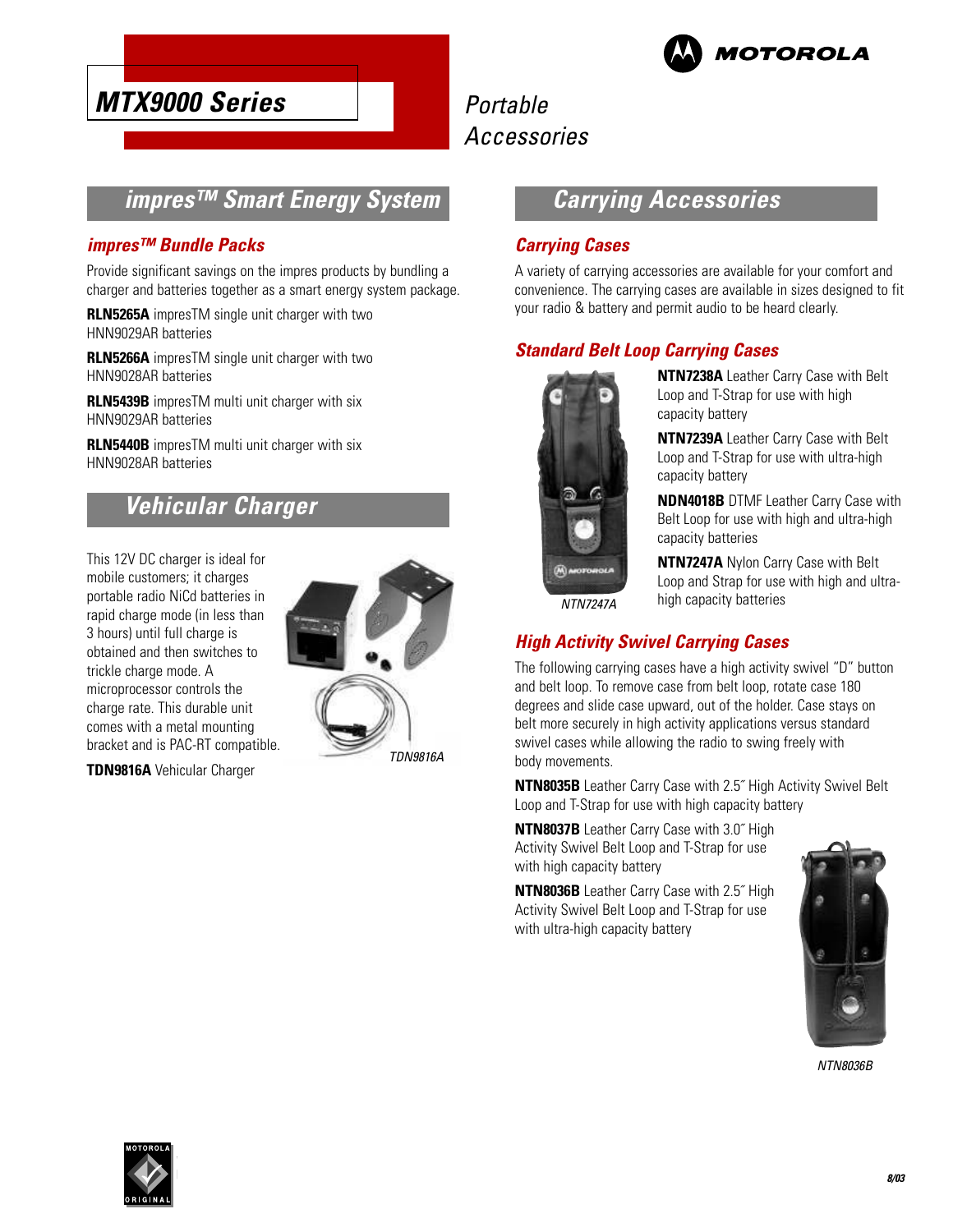

## Portable Accessories

### **impres™ Smart Energy System**

#### **impres™ Bundle Packs**

Provide significant savings on the impres products by bundling a charger and batteries together as a smart energy system package.

**RLN5265A** impresTM single unit charger with two HNN9029AR batteries

**RLN5266A** impresTM single unit charger with two HNN9028AR batteries

**RLN5439B** impresTM multi unit charger with six HNN9029AR batteries

**RLN5440B** impresTM multi unit charger with six HNN9028AR batteries

### **Vehicular Charger**

This 12V DC charger is ideal for mobile customers; it charges portable radio NiCd batteries in rapid charge mode (in less than 3 hours) until full charge is obtained and then switches to trickle charge mode. A microprocessor controls the charge rate. This durable unit comes with a metal mounting bracket and is PAC-RT compatible.

**TDN9816A** Vehicular Charger



### **Carrying Accessories**

### **Carrying Cases**

A variety of carrying accessories are available for your comfort and convenience. The carrying cases are available in sizes designed to fit your radio & battery and permit audio to be heard clearly.

### **Standard Belt Loop Carrying Cases**



**NTN7238A** Leather Carry Case with Belt Loop and T-Strap for use with high capacity battery

**NTN7239A** Leather Carry Case with Belt Loop and T-Strap for use with ultra-high capacity battery

**NDN4018B** DTMF Leather Carry Case with Belt Loop for use with high and ultra-high capacity batteries

**NTN7247A** Nylon Carry Case with Belt Loop and Strap for use with high and ultrahigh capacity batteries

NTN7247A

### **High Activity Swivel Carrying Cases**

The following carrying cases have a high activity swivel "D" button and belt loop. To remove case from belt loop, rotate case 180 degrees and slide case upward, out of the holder. Case stays on belt more securely in high activity applications versus standard swivel cases while allowing the radio to swing freely with body movements.

**NTN8035B** Leather Carry Case with 2.5˝ High Activity Swivel Belt Loop and T-Strap for use with high capacity battery

**NTN8037B** Leather Carry Case with 3.0˝ High Activity Swivel Belt Loop and T-Strap for use with high capacity battery

**NTN8036B** Leather Carry Case with 2.5˝ High Activity Swivel Belt Loop and T-Strap for use with ultra-high capacity battery



NTN8036B

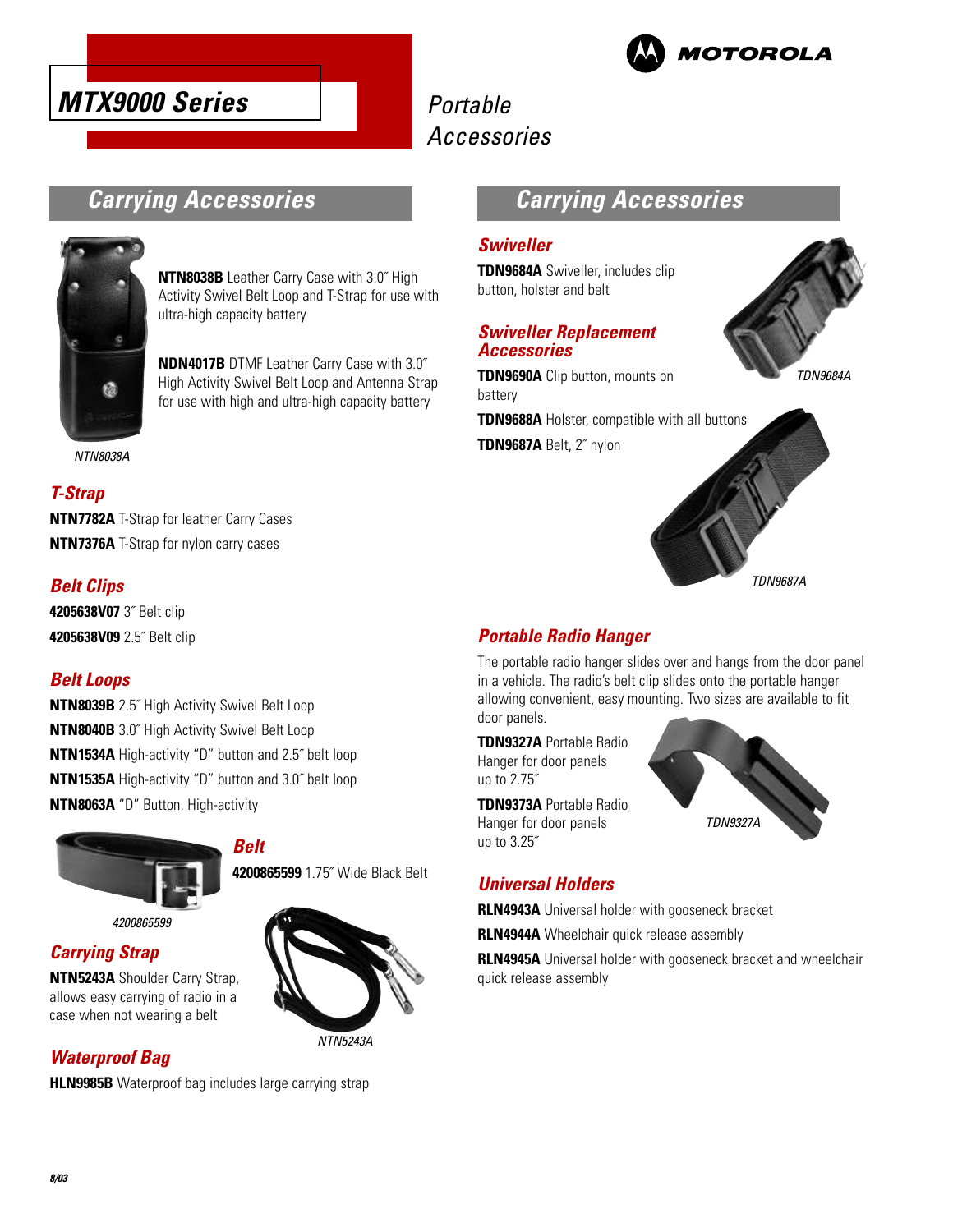



### **Carrying Accessories**



**NTN8038B** Leather Carry Case with 3.0˝ High Activity Swivel Belt Loop and T-Strap for use with ultra-high capacity battery

**NDN4017B** DTMF Leather Carry Case with 3.0˝ High Activity Swivel Belt Loop and Antenna Strap for use with high and ultra-high capacity battery

NTN8038A

### **T-Strap**

**NTN7782A** T-Strap for leather Carry Cases **NTN7376A** T-Strap for nylon carry cases

### **Belt Clips**

**4205638V07** 3˝ Belt clip **4205638V09** 2.5˝ Belt clip

### **Belt Loops**

**NTN8039B** 2.5˝ High Activity Swivel Belt Loop **NTN8040B** 3.0˝ High Activity Swivel Belt Loop **NTN1534A** High-activity "D" button and 2.5˝ belt loop **NTN1535A** High-activity "D" button and 3.0˝ belt loop **NTN8063A** "D" Button, High-activity

**Belt**



4200865599

**Carrying Strap**

**NTN5243A** Shoulder Carry Strap, allows easy carrying of radio in a case when not wearing a belt

### **Waterproof Bag**

**HLN9985B** Waterproof bag includes large carrying strap



**4200865599** 1.75˝ Wide Black Belt

NTN5243A

### **Carrying Accessories**

#### **Swiveller**

**TDN9684A** Swiveller, includes clip button, holster and belt

#### **Swiveller Replacement Accessories**

**TDN9690A** Clip button, mounts on battery

**TDN9688A** Holster, compatible with all buttons

**TDN9687A** Belt, 2˝ nylon





### **Portable Radio Hanger**

The portable radio hanger slides over and hangs from the door panel in a vehicle. The radio's belt clip slides onto the portable hanger allowing convenient, easy mounting. Two sizes are available to fit door panels.

**TDN9327A** Portable Radio Hanger for door panels up to 2.75˝

**TDN9373A** Portable Radio Hanger for door panels up to 3.25˝



### **Universal Holders**

**RLN4943A** Universal holder with gooseneck bracket

**RLN4944A** Wheelchair quick release assembly

**RLN4945A** Universal holder with gooseneck bracket and wheelchair quick release assembly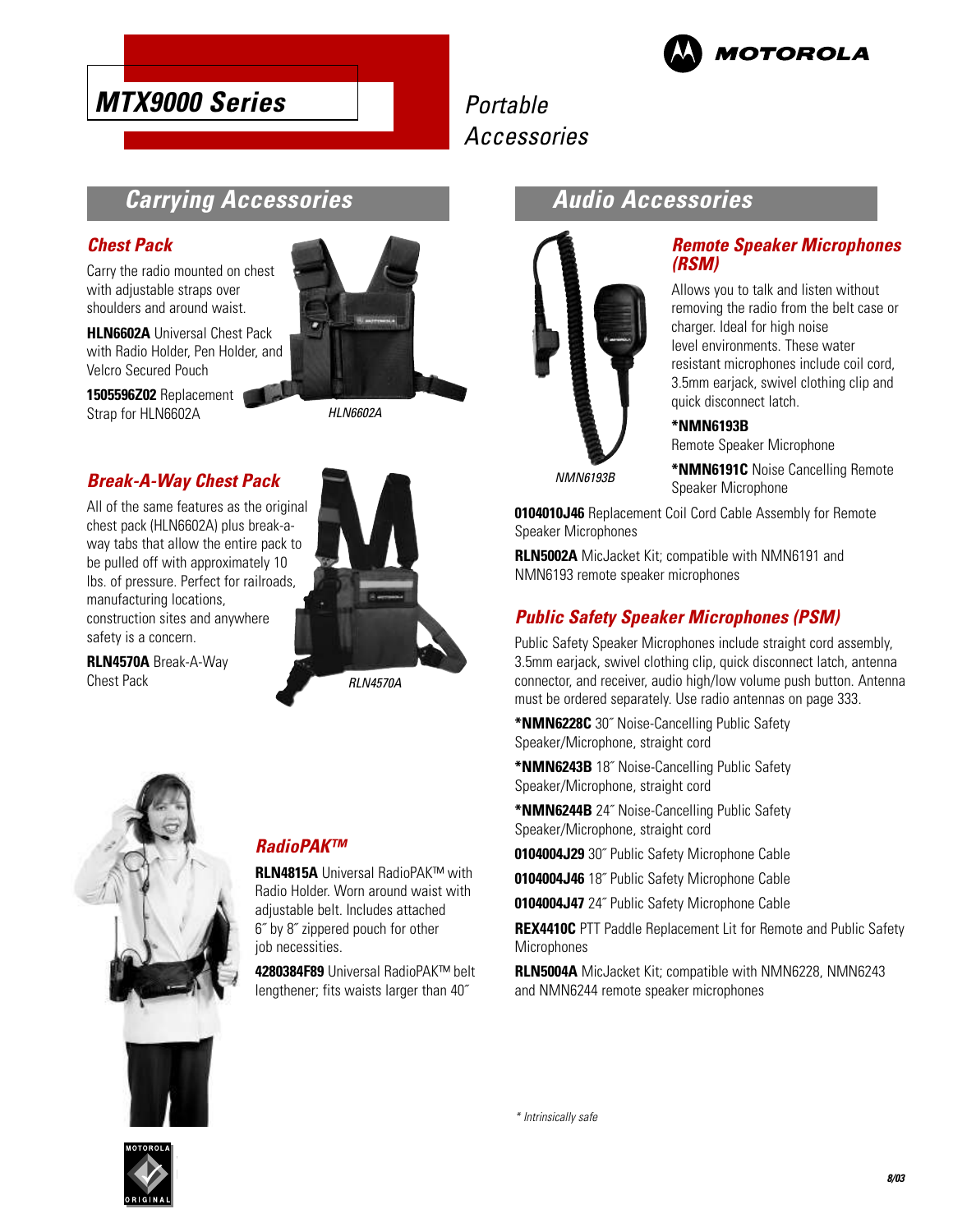



### **Carrying Accessories**

### **Chest Pack**

Carry the radio mounted on chest with adjustable straps over shoulders and around waist.

**HLN6602A** Universal Chest Pack with Radio Holder, Pen Holder, and Velcro Secured Pouch

**1505596Z02** Replacement Strap for HLN6602A



HLN6602A

### **Break-A-Way Chest Pack**

All of the same features as the original chest pack (HLN6602A) plus break-away tabs that allow the entire pack to be pulled off with approximately 10 lbs. of pressure. Perfect for railroads, manufacturing locations, construction sites and anywhere safety is a concern.

**RLN4570A** Break-A-Way Chest Pack



RLN4570A



### **RadioPAK™**

**RLN4815A** Universal RadioPAK™ with Radio Holder. Worn around waist with adjustable belt. Includes attached 6˝ by 8˝ zippered pouch for other job necessities.

**4280384F89** Universal RadioPAK™ belt lengthener; fits waists larger than 40˝

### **Audio Accessories**



#### **Remote Speaker Microphones (RSM)**

Allows you to talk and listen without removing the radio from the belt case or charger. Ideal for high noise level environments. These water resistant microphones include coil cord, 3.5mm earjack, swivel clothing clip and quick disconnect latch.

**\*NMN6191C** Noise Cancelling Remote

#### **\*NMN6193B**

Remote Speaker Microphone

NMN6193B

**0104010J46** Replacement Coil Cord Cable Assembly for Remote Speaker Microphones

Speaker Microphone

**RLN5002A** MicJacket Kit; compatible with NMN6191 and NMN6193 remote speaker microphones

### **Public Safety Speaker Microphones (PSM)**

Public Safety Speaker Microphones include straight cord assembly, 3.5mm earjack, swivel clothing clip, quick disconnect latch, antenna connector, and receiver, audio high/low volume push button. Antenna must be ordered separately. Use radio antennas on page 333.

**\*NMN6228C** 30˝ Noise-Cancelling Public Safety Speaker/Microphone, straight cord

**\*NMN6243B** 18˝ Noise-Cancelling Public Safety Speaker/Microphone, straight cord

**\*NMN6244B** 24˝ Noise-Cancelling Public Safety Speaker/Microphone, straight cord

**0104004J29** 30˝ Public Safety Microphone Cable

**0104004J46** 18˝ Public Safety Microphone Cable

**0104004J47** 24˝ Public Safety Microphone Cable

**REX4410C** PTT Paddle Replacement Lit for Remote and Public Safety **Microphones** 

**RLN5004A** MicJacket Kit; compatible with NMN6228, NMN6243 and NMN6244 remote speaker microphones

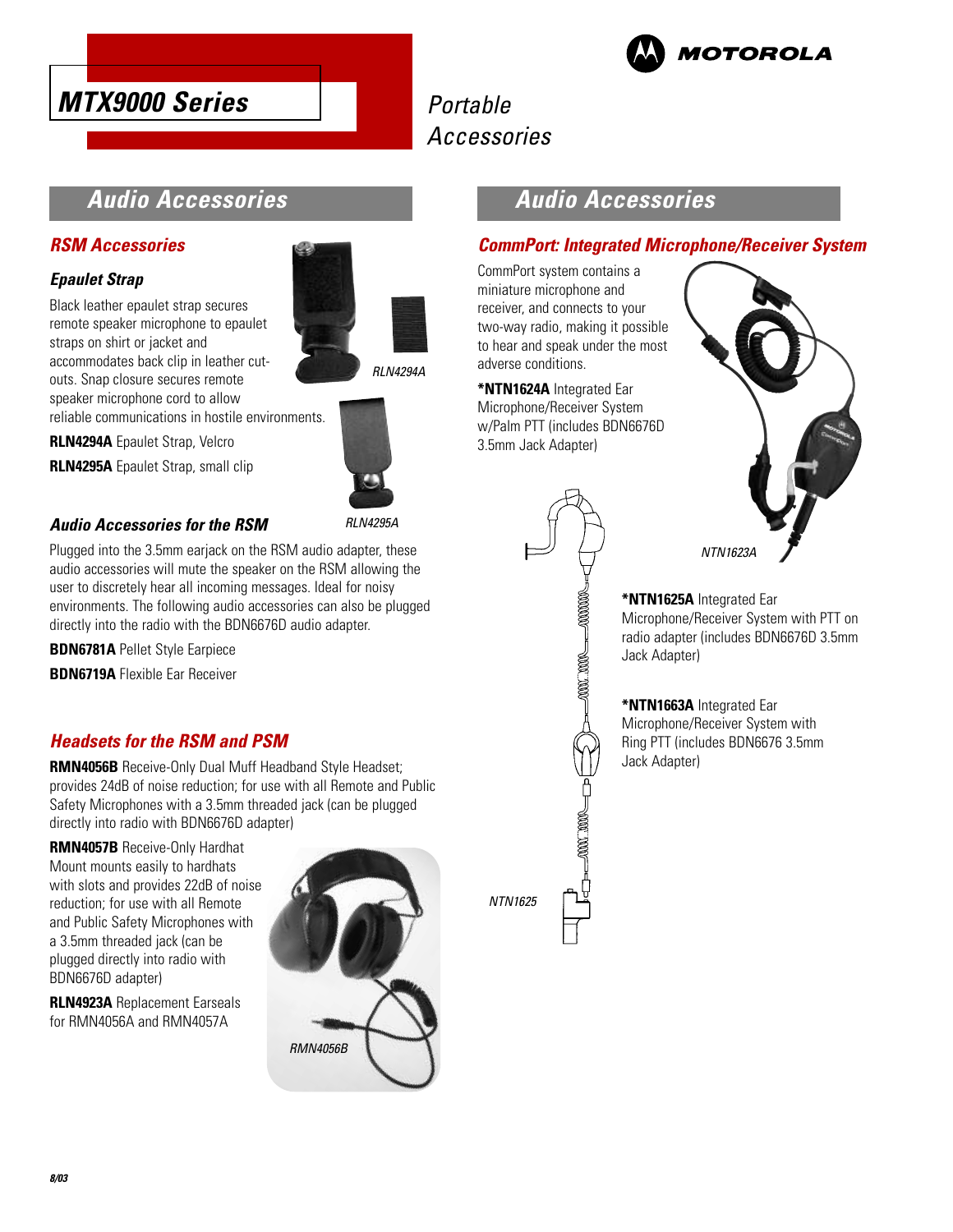



### **Audio Accessories**

#### **RSM Accessories**

### **Epaulet Strap**

Black leather epaulet strap secures remote speaker microphone to epaulet straps on shirt or jacket and accommodates back clip in leather cutouts. Snap closure secures remote speaker microphone cord to allow



**RI N4294A** 

reliable communications in hostile environments.

**RLN4294A** Epaulet Strap, Velcro **RLN4295A** Epaulet Strap, small clip



### **Audio Accessories for the RSM**

Plugged into the 3.5mm earjack on the RSM audio adapter, these audio accessories will mute the speaker on the RSM allowing the user to discretely hear all incoming messages. Ideal for noisy environments. The following audio accessories can also be plugged directly into the radio with the BDN6676D audio adapter.

**BDN6781A** Pellet Style Earpiece

**BDN6719A** Flexible Ear Receiver

### **Headsets for the RSM and PSM**

**RMN4056B** Receive-Only Dual Muff Headband Style Headset; provides 24dB of noise reduction; for use with all Remote and Public Safety Microphones with a 3.5mm threaded jack (can be plugged directly into radio with BDN6676D adapter)

**RMN4057B** Receive-Only Hardhat Mount mounts easily to hardhats with slots and provides 22dB of noise reduction; for use with all Remote and Public Safety Microphones with a 3.5mm threaded jack (can be plugged directly into radio with BDN6676D adapter)

**RLN4923A** Replacement Earseals for RMN4056A and RMN4057A



### **Audio Accessories**

### **CommPort: Integrated Microphone/Receiver System**

CommPort system contains a miniature microphone and receiver, and connects to your two-way radio, making it possible to hear and speak under the most adverse conditions.

**\*NTN1624A** Integrated Ear Microphone/Receiver System w/Palm PTT (includes BDN6676D 3.5mm Jack Adapter)

 $-0000000$ 

2000. 2000

 $\begin{picture}(150,10) \put(0,0){\line(1,0){100}} \put(15,0){\line(1,0){100}} \put(15,0){\line(1,0){100}} \put(15,0){\line(1,0){100}} \put(15,0){\line(1,0){100}} \put(15,0){\line(1,0){100}} \put(15,0){\line(1,0){100}} \put(15,0){\line(1,0){100}} \put(15,0){\line(1,0){100}} \put(15,0){\line(1,0){100}} \put(15,0){\line(1,0){100}}$ 



#### **\*NTN1625A** Integrated Ear

Microphone/Receiver System with PTT on radio adapter (includes BDN6676D 3.5mm Jack Adapter)

#### **\*NTN1663A** Integrated Ear

Microphone/Receiver System with Ring PTT (includes BDN6676 3.5mm Jack Adapter)

NTN1625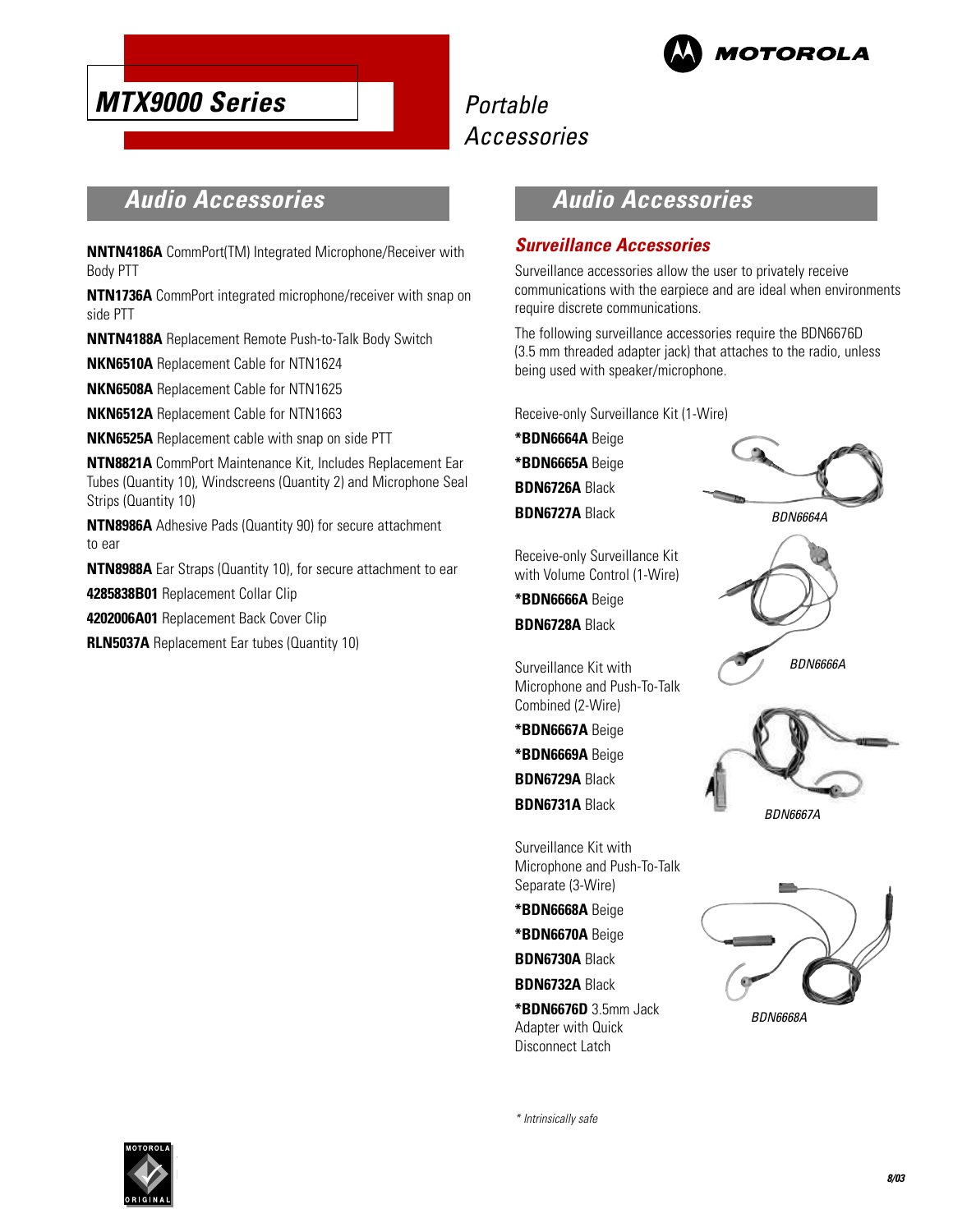

## Portable Accessories

### **Audio Accessories**

**NNTN4186A** CommPort(TM) Integrated Microphone/Receiver with Body PTT

**NTN1736A** CommPort integrated microphone/receiver with snap on side PTT

**NNTN4188A** Replacement Remote Push-to-Talk Body Switch

**NKN6510A** Replacement Cable for NTN1624

**NKN6508A** Replacement Cable for NTN1625

**NKN6512A** Replacement Cable for NTN1663

**NKN6525A** Replacement cable with snap on side PTT

**NTN8821A** CommPort Maintenance Kit, Includes Replacement Ear Tubes (Quantity 10), Windscreens (Quantity 2) and Microphone Seal Strips (Quantity 10)

**NTN8986A** Adhesive Pads (Quantity 90) for secure attachment to ear

**NTN8988A** Ear Straps (Quantity 10), for secure attachment to ear **4285838B01** Replacement Collar Clip

**4202006A01** Replacement Back Cover Clip

**RLN5037A** Replacement Ear tubes (Quantity 10)

### **Audio Accessories**

#### **Surveillance Accessories**

Surveillance accessories allow the user to privately receive communications with the earpiece and are ideal when environments require discrete communications.

The following surveillance accessories require the BDN6676D (3.5 mm threaded adapter jack) that attaches to the radio, unless being used with speaker/microphone.

Receive-only Surveillance Kit (1-Wire)

**\*BDN6664A** Beige **\*BDN6665A** Beige **BDN6726A** Black **BDN6727A** Black

**\*BDN6666A** Beige **BDN6728A** Black

Surveillance Kit with Microphone and Push-To-Talk

Combined (2-Wire) **\*BDN6667A** Beige **\*BDN6669A** Beige **BDN6729A** Black **BDN6731A** Black

Surveillance Kit with Microphone and Push-To-Talk

**\*BDN6676D** 3.5mm Jack Adapter with Quick Disconnect Latch

Separate (3-Wire) **\*BDN6668A** Beige **\*BDN6670A** Beige **BDN6730A** Black **BDN6732A** Black

Receive-only Surveillance Kit with Volume Control (1-Wire)











\* Intrinsically safe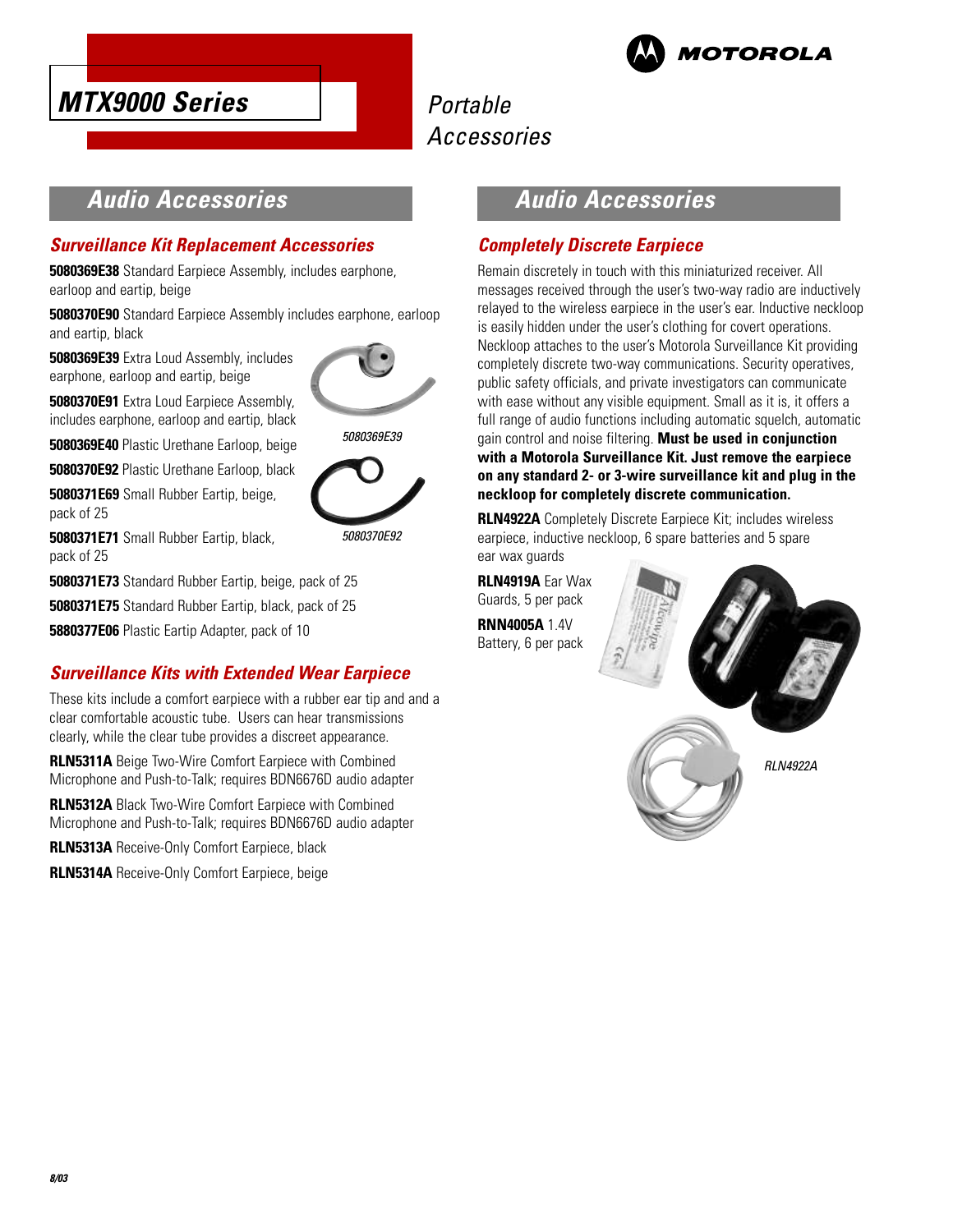



### **Audio Accessories**

### **Surveillance Kit Replacement Accessories**

**5080369E38** Standard Earpiece Assembly, includes earphone, earloop and eartip, beige

**5080370E90** Standard Earpiece Assembly includes earphone, earloop and eartip, black

**5080369E39** Extra Loud Assembly, includes earphone, earloop and eartip, beige



5080369E39

**5080370E91** Extra Loud Earpiece Assembly, includes earphone, earloop and eartip, black

**5080369E40** Plastic Urethane Earloop, beige

**5080370E92** Plastic Urethane Earloop, black **5080371E69** Small Rubber Eartip, beige,

pack of 25

5080370E92

**5080371E71** Small Rubber Eartip, black, pack of 25

**5080371E73** Standard Rubber Eartip, beige, pack of 25

**5080371E75** Standard Rubber Eartip, black, pack of 25

**5880377E06** Plastic Eartip Adapter, pack of 10

### **Surveillance Kits with Extended Wear Earpiece**

These kits include a comfort earpiece with a rubber ear tip and and a clear comfortable acoustic tube. Users can hear transmissions clearly, while the clear tube provides a discreet appearance.

**RLN5311A** Beige Two-Wire Comfort Earpiece with Combined Microphone and Push-to-Talk; requires BDN6676D audio adapter

**RLN5312A** Black Two-Wire Comfort Earpiece with Combined Microphone and Push-to-Talk; requires BDN6676D audio adapter

**RLN5313A** Receive-Only Comfort Earpiece, black

**RLN5314A** Receive-Only Comfort Earpiece, beige

### **Audio Accessories**

### **Completely Discrete Earpiece**

Remain discretely in touch with this miniaturized receiver. All messages received through the user's two-way radio are inductively relayed to the wireless earpiece in the user's ear. Inductive neckloop is easily hidden under the user's clothing for covert operations. Neckloop attaches to the user's Motorola Surveillance Kit providing completely discrete two-way communications. Security operatives, public safety officials, and private investigators can communicate with ease without any visible equipment. Small as it is, it offers a full range of audio functions including automatic squelch, automatic gain control and noise filtering. **Must be used in conjunction with a Motorola Surveillance Kit. Just remove the earpiece on any standard 2- or 3-wire surveillance kit and plug in the neckloop for completely discrete communication.**

**RLN4922A** Completely Discrete Earpiece Kit; includes wireless earpiece, inductive neckloop, 6 spare batteries and 5 spare ear wax guards

**RLN4919A** Ear Wax Guards, 5 per pack **RNN4005A** 1.4V Battery, 6 per pack

RLN4922A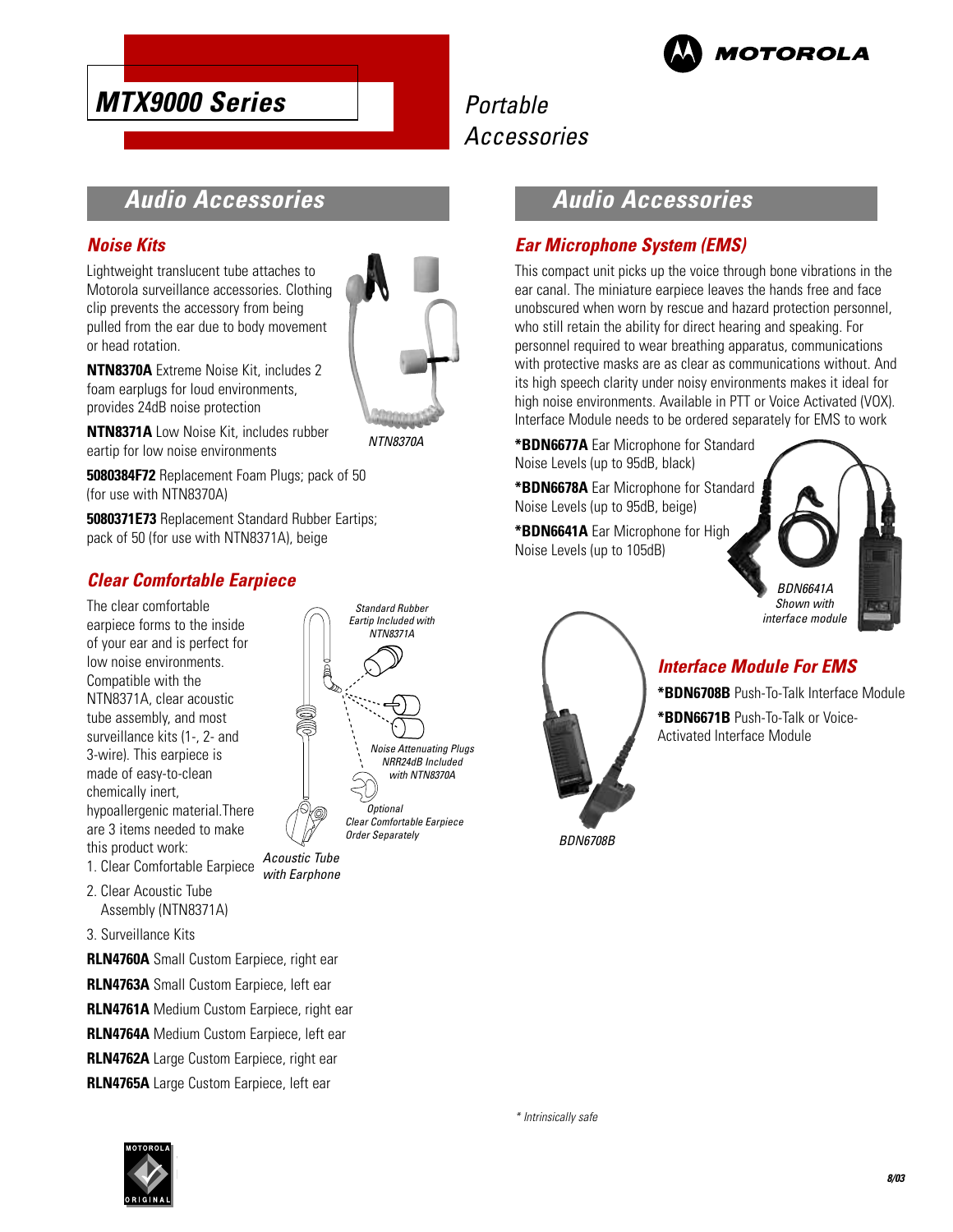

## Portable Accessories

### **Audio Accessories**

#### **Noise Kits**

Lightweight translucent tube attaches to Motorola surveillance accessories. Clothing clip prevents the accessory from being pulled from the ear due to body movement or head rotation.



**NTN8370A** Extreme Noise Kit, includes 2 foam earplugs for loud environments, provides 24dB noise protection

**NTN8371A** Low Noise Kit, includes rubber eartip for low noise environments

**5080384F72** Replacement Foam Plugs; pack of 50 (for use with NTN8370A)

**5080371E73** Replacement Standard Rubber Eartips; pack of 50 (for use with NTN8371A), beige

### **Clear Comfortable Earpiece**

The clear comfortable earpiece forms to the inside of your ear and is perfect for low noise environments. Compatible with the NTN8371A, clear acoustic tube assembly, and most surveillance kits (1-, 2- and 3-wire). This earpiece is made of easy-to-clean chemically inert, hypoallergenic material.There are 3 items needed to make this product work:

- 1. Clear Comfortable Earpiece
- 2. Clear Acoustic Tube Assembly (NTN8371A)
- 3. Surveillance Kits

**RLN4760A** Small Custom Earpiece, right ear **RLN4763A** Small Custom Earpiece, left ear **RLN4761A** Medium Custom Earpiece, right ear **RLN4764A** Medium Custom Earpiece, left ear **RLN4762A** Large Custom Earpiece, right ear **RLN4765A** Large Custom Earpiece, left ear



Acoustic Tube) with Earphone



### **Ear Microphone System (EMS)**

This compact unit picks up the voice through bone vibrations in the ear canal. The miniature earpiece leaves the hands free and face unobscured when worn by rescue and hazard protection personnel, who still retain the ability for direct hearing and speaking. For personnel required to wear breathing apparatus, communications with protective masks are as clear as communications without. And its high speech clarity under noisy environments makes it ideal for high noise environments. Available in PTT or Voice Activated (VOX). Interface Module needs to be ordered separately for EMS to work

**\*BDN6677A** Ear Microphone for Standard Noise Levels (up to 95dB, black)

**\*BDN6678A** Ear Microphone for Standard Noise Levels (up to 95dB, beige)

**\*BDN6641A** Ear Microphone for High Noise Levels (up to 105dB)





**\*BDN6708B** Push-To-Talk Interface Module

**\*BDN6671B** Push-To-Talk or Voice-Activated Interface Module

**Interface Module For EMS**

BDN6708B

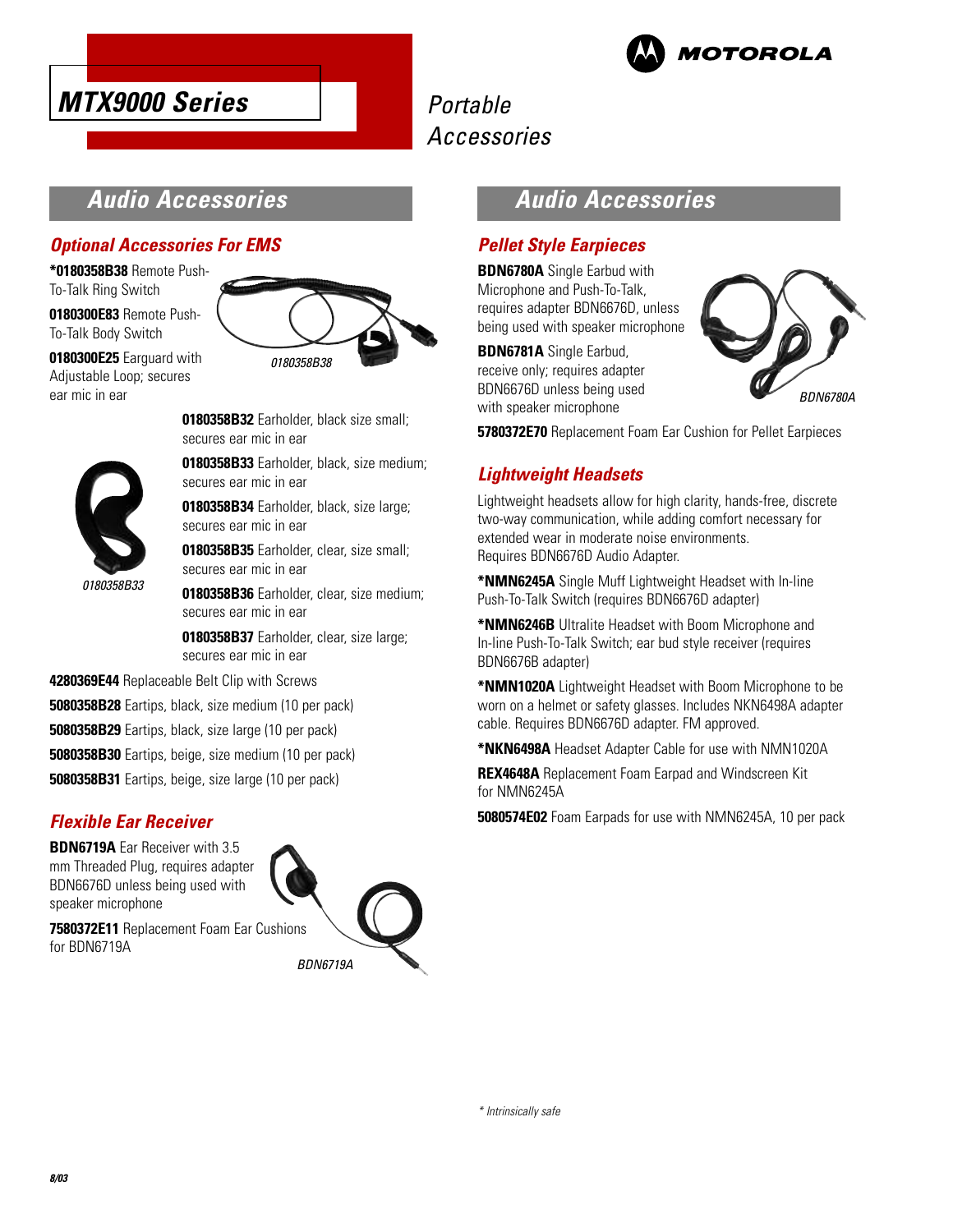



### **Audio Accessories**

### **Optional Accessories For EMS**

**\*0180358B38** Remote Push-To-Talk Ring Switch **0180300E83** Remote Push-To-Talk Body Switch



**0180300E25** Earguard with Adjustable Loop; secures ear mic in ear

0180358B33

**0180358B32** Earholder, black size small; secures ear mic in ear

**0180358B33** Earholder, black, size medium; secures ear mic in ear

**0180358B34** Earholder, black, size large; secures ear mic in ear

**0180358B35** Earholder, clear, size small; secures ear mic in ear

**0180358B36** Earholder, clear, size medium; secures ear mic in ear

**0180358B37** Earholder, clear, size large; secures ear mic in ear

**4280369E44** Replaceable Belt Clip with Screws

**5080358B28** Eartips, black, size medium (10 per pack)

**5080358B29** Eartips, black, size large (10 per pack)

**5080358B30** Eartips, beige, size medium (10 per pack)

**5080358B31** Eartips, beige, size large (10 per pack)

#### **Flexible Ear Receiver**

**BDN6719A** Ear Receiver with 3.5 mm Threaded Plug, requires adapter BDN6676D unless being used with speaker microphone



**7580372E11** Replacement Foam Ear Cushions for BDN6719A

## **Audio Accessories**

### **Pellet Style Earpieces**

**BDN6780A** Single Earbud with Microphone and Push-To-Talk, requires adapter BDN6676D, unless being used with speaker microphone

**BDN6781A** Single Earbud, receive only; requires adapter BDN6676D unless being used with speaker microphone



**5780372E70** Replacement Foam Ear Cushion for Pellet Earpieces

### **Lightweight Headsets**

Lightweight headsets allow for high clarity, hands-free, discrete two-way communication, while adding comfort necessary for extended wear in moderate noise environments. Requires BDN6676D Audio Adapter.

**\*NMN6245A** Single Muff Lightweight Headset with In-line Push-To-Talk Switch (requires BDN6676D adapter)

**\*NMN6246B** Ultralite Headset with Boom Microphone and In-line Push-To-Talk Switch; ear bud style receiver (requires BDN6676B adapter)

**\*NMN1020A** Lightweight Headset with Boom Microphone to be worn on a helmet or safety glasses. Includes NKN6498A adapter cable. Requires BDN6676D adapter. FM approved.

**\*NKN6498A** Headset Adapter Cable for use with NMN1020A

**REX4648A** Replacement Foam Earpad and Windscreen Kit for NMN6245A

**5080574E02** Foam Earpads for use with NMN6245A, 10 per pack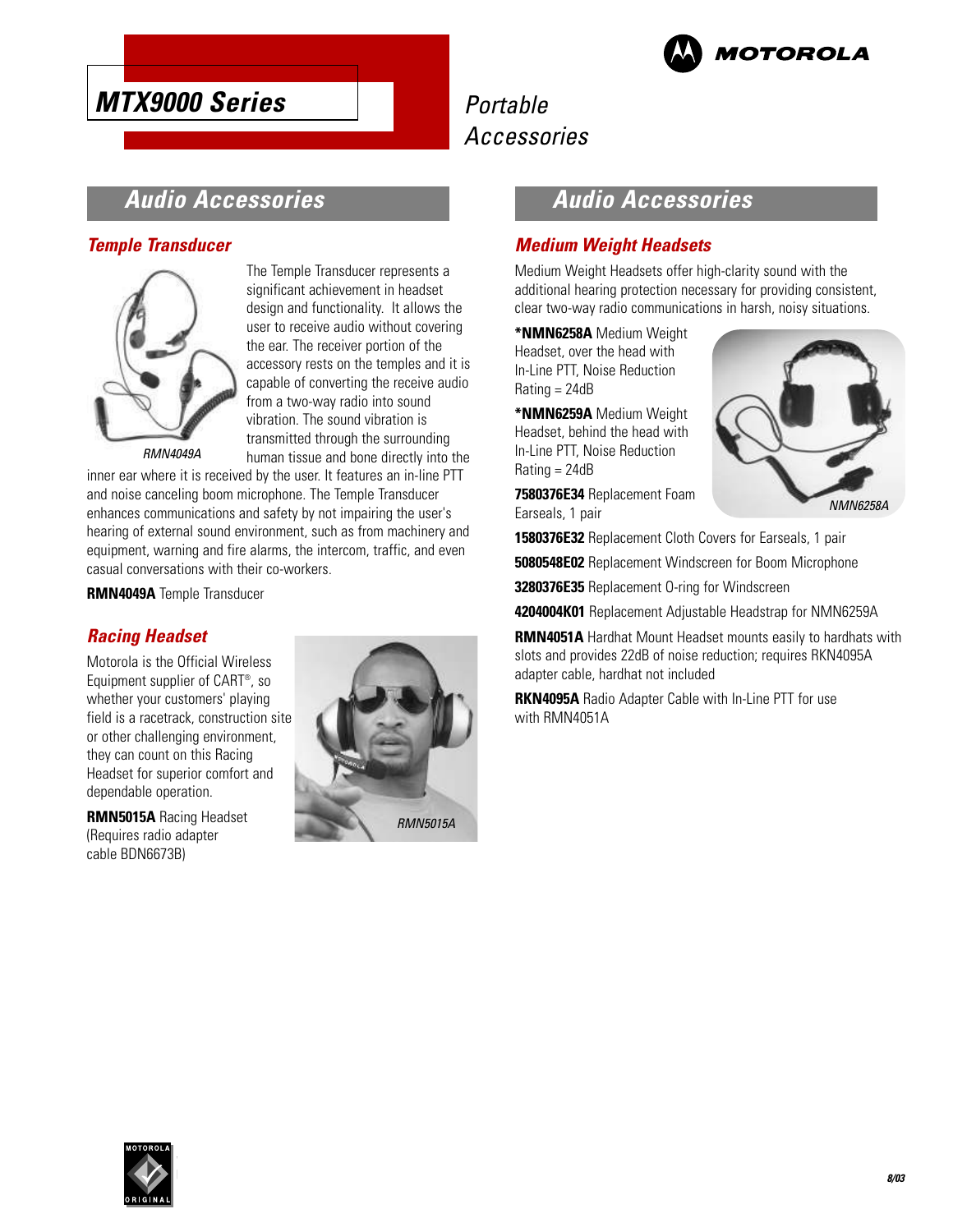

## Portable Accessories

### **Audio Accessories**

### **Temple Transducer**



The Temple Transducer represents a significant achievement in headset design and functionality. It allows the user to receive audio without covering the ear. The receiver portion of the accessory rests on the temples and it is capable of converting the receive audio from a two-way radio into sound vibration. The sound vibration is transmitted through the surrounding human tissue and bone directly into the

inner ear where it is received by the user. It features an in-line PTT and noise canceling boom microphone. The Temple Transducer enhances communications and safety by not impairing the user's hearing of external sound environment, such as from machinery and equipment, warning and fire alarms, the intercom, traffic, and even casual conversations with their co-workers.

**RMN4049A** Temple Transducer

### **Racing Headset**

Motorola is the Official Wireless Equipment supplier of CART® , so whether your customers' playing field is a racetrack, construction site or other challenging environment, they can count on this Racing Headset for superior comfort and dependable operation.

**RMN5015A** Racing Headset (Requires radio adapter cable BDN6673B)



## **Audio Accessories**

### **Medium Weight Headsets**

Medium Weight Headsets offer high-clarity sound with the additional hearing protection necessary for providing consistent, clear two-way radio communications in harsh, noisy situations.

**\*NMN6258A** Medium Weight Headset, over the head with In-Line PTT, Noise Reduction Rating = 24dB

**\*NMN6259A** Medium Weight Headset, behind the head with In-Line PTT, Noise Reduction Rating = 24dB

**7580376E34** Replacement Foam Earseals, 1 pair



**1580376E32** Replacement Cloth Covers for Earseals, 1 pair

**5080548E02** Replacement Windscreen for Boom Microphone

**3280376E35** Replacement O-ring for Windscreen

**4204004K01** Replacement Adjustable Headstrap for NMN6259A

**RMN4051A** Hardhat Mount Headset mounts easily to hardhats with slots and provides 22dB of noise reduction; requires RKN4095A adapter cable, hardhat not included

**RKN4095A** Radio Adapter Cable with In-Line PTT for use with RMN4051A

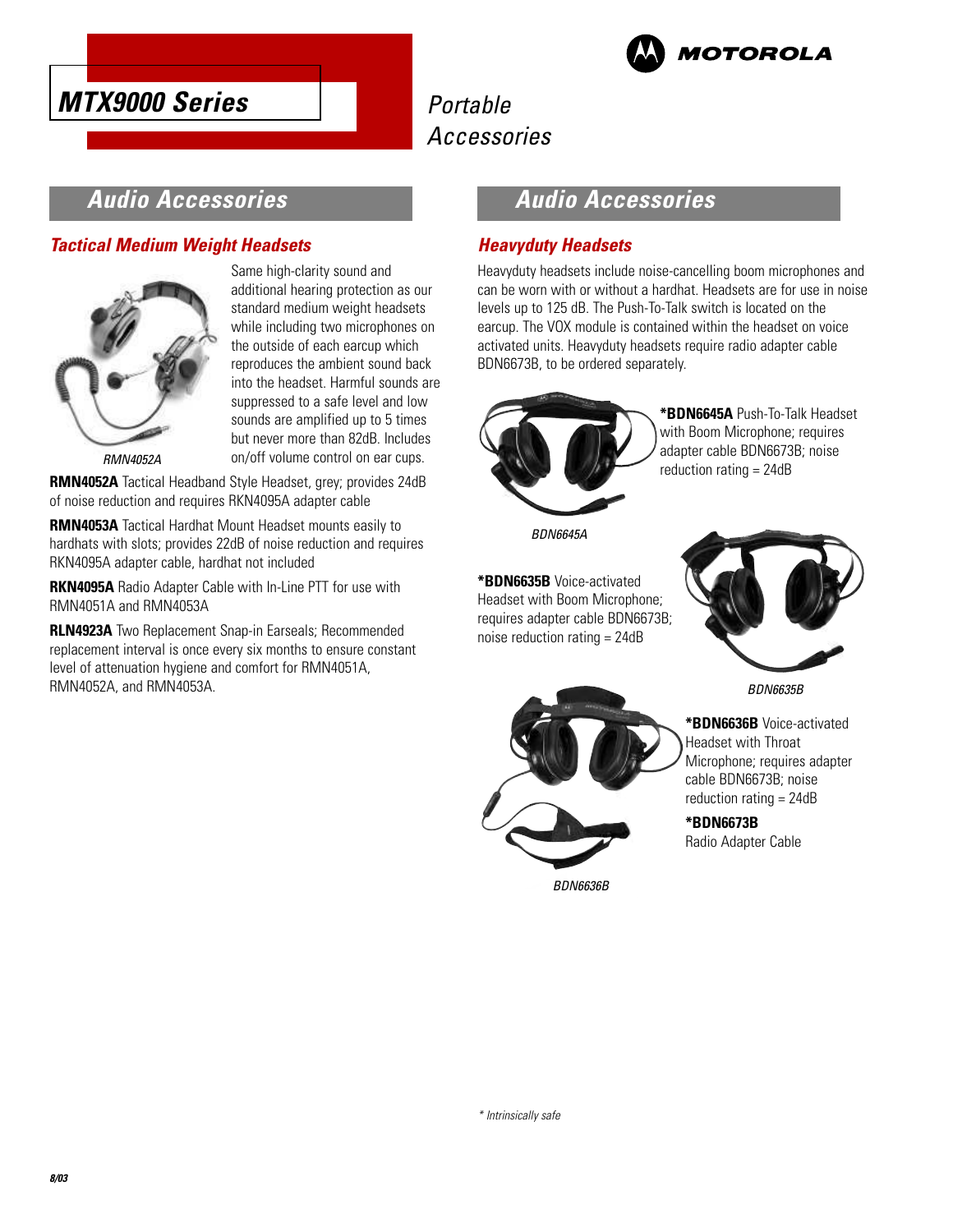



### **Audio Accessories**

### **Tactical Medium Weight Headsets**



Same high-clarity sound and additional hearing protection as our standard medium weight headsets while including two microphones on the outside of each earcup which reproduces the ambient sound back into the headset. Harmful sounds are suppressed to a safe level and low sounds are amplified up to 5 times but never more than 82dB. Includes on/off volume control on ear cups.

RMN4052A

**RMN4052A** Tactical Headband Style Headset, grey; provides 24dB of noise reduction and requires RKN4095A adapter cable

**RMN4053A** Tactical Hardhat Mount Headset mounts easily to hardhats with slots; provides 22dB of noise reduction and requires RKN4095A adapter cable, hardhat not included

**RKN4095A** Radio Adapter Cable with In-Line PTT for use with RMN4051A and RMN4053A

**RLN4923A** Two Replacement Snap-in Earseals; Recommended replacement interval is once every six months to ensure constant level of attenuation hygiene and comfort for RMN4051A, RMN4052A, and RMN4053A.

### **Audio Accessories**

### **Heavyduty Headsets**

Heavyduty headsets include noise-cancelling boom microphones and can be worn with or without a hardhat. Headsets are for use in noise levels up to 125 dB. The Push-To-Talk switch is located on the earcup. The VOX module is contained within the headset on voice activated units. Heavyduty headsets require radio adapter cable BDN6673B, to be ordered separately.



**\*BDN6645A** Push-To-Talk Headset with Boom Microphone; requires adapter cable BDN6673B; noise reduction rating = 24dB

BDN6645A

**\*BDN6635B** Voice-activated Headset with Boom Microphone; requires adapter cable BDN6673B; noise reduction rating = 24dB



BDN6635B



BDN6636B

**\*BDN6636B** Voice-activated Headset with Throat Microphone; requires adapter cable BDN6673B; noise reduction rating = 24dB

**\*BDN6673B** Radio Adapter Cable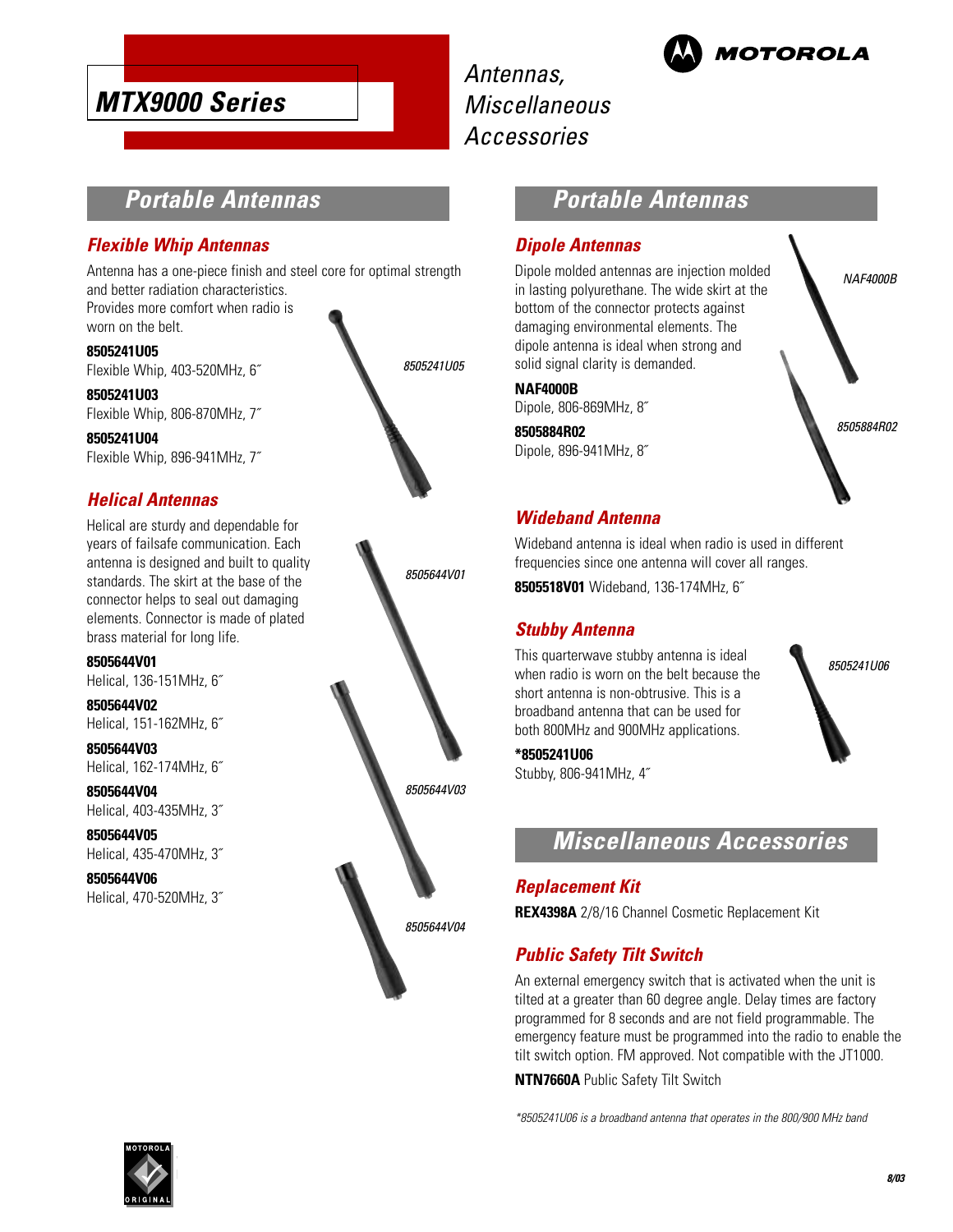

Antennas, **Miscellaneous** Accessories



### **Portable Antennas**

#### **Flexible Whip Antennas**

Antenna has a one-piece finish and steel core for optimal strength and better radiation characteristics.

Provides more comfort when radio is worn on the belt.

**8505241U05** Flexible Whip, 403-520MHz, 6˝

**8505241U03** Flexible Whip, 806-870MHz, 7˝

**8505241U04** Flexible Whip, 896-941MHz, 7˝

### **Helical Antennas**

Helical are sturdy and dependable for years of failsafe communication. Each antenna is designed and built to quality standards. The skirt at the base of the connector helps to seal out damaging elements. Connector is made of plated brass material for long life.

**8505644V01** Helical, 136-151MHz, 6˝

**8505644V02** Helical, 151-162MHz, 6˝

**8505644V03** Helical, 162-174MHz, 6˝

**8505644V04** Helical, 403-435MHz, 3˝

**8505644V05** Helical, 435-470MHz, 3˝

**8505644V06** Helical, 470-520MHz, 3˝





### **Portable Antennas**

#### **Dipole Antennas**

Dipole molded antennas are injection molded in lasting polyurethane. The wide skirt at the bottom of the connector protects against damaging environmental elements. The dipole antenna is ideal when strong and solid signal clarity is demanded.

#### **NAF4000B**

Dipole, 806-869MHz, 8˝

**8505884R02** Dipole, 896-941MHz, 8˝



#### **Wideband Antenna**

Wideband antenna is ideal when radio is used in different frequencies since one antenna will cover all ranges.

**8505518V01** Wideband, 136-174MHz, 6˝

#### **Stubby Antenna**

This quarterwave stubby antenna is ideal when radio is worn on the belt because the short antenna is non-obtrusive. This is a broadband antenna that can be used for both 800MHz and 900MHz applications.

8505241U06

#### **\*8505241U06**

Stubby, 806-941MHz, 4˝



#### **Replacement Kit**

**REX4398A** 2/8/16 Channel Cosmetic Replacement Kit

### **Public Safety Tilt Switch**

An external emergency switch that is activated when the unit is tilted at a greater than 60 degree angle. Delay times are factory programmed for 8 seconds and are not field programmable. The emergency feature must be programmed into the radio to enable the tilt switch option. FM approved. Not compatible with the JT1000.

**NTN7660A** Public Safety Tilt Switch

\*8505241U06 is a broadband antenna that operates in the 800/900 MHz band

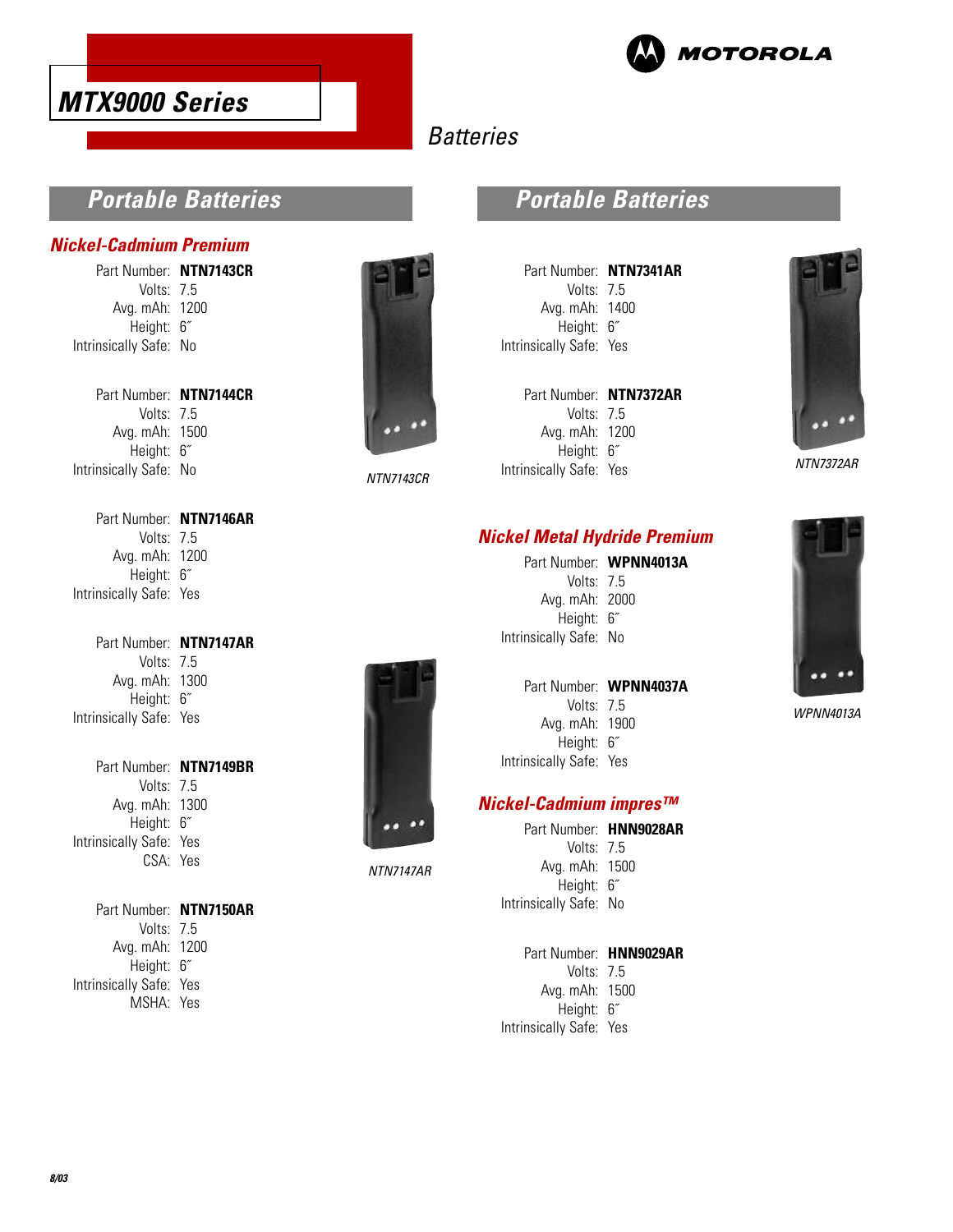



## **Batteries**

### **Portable Batteries**

#### **Nickel-Cadmium Premium**

Part Number: **NTN7143CR** Volts: 7.5 Avg. mAh: 1200 Height: 6˝ Intrinsically Safe: No

Part Number: **NTN7144CR** Volts: 7.5 Avg. mAh: 1500 Height: 6˝ Intrinsically Safe: No

Part Number: **NTN7146AR** Volts: 7.5 Avg. mAh: 1200 Height: 6˝ Intrinsically Safe: Yes

Part Number: **NTN7147AR** Volts: 7.5 Avg. mAh: 1300 Height: 6˝ Intrinsically Safe: Yes

Part Number: **NTN7149BR** Volts: 7.5 Avg. mAh: 1300 Height: 6˝ Intrinsically Safe: Yes CSA: Yes

Part Number: **NTN7150AR** Volts: 7.5 Avg. mAh: 1200 Height: 6˝ Intrinsically Safe: Yes MSHA: Yes



NTN7143CR

NTN7147AR

### **Portable Batteries**

Part Number: **NTN7341AR** Volts: 7.5 Avg. mAh: 1400 Height: 6˝ Intrinsically Safe: Yes

| Part Number: NTN7372AR  |
|-------------------------|
| Volts: 7.5              |
| Avg. mAh: 1200          |
| Height: 6"              |
| Intrinsically Safe: Yes |
|                         |



NTN7372AR

### **Nickel Metal Hydride Premium**

Part Number: **WPNN4013A** Volts: 7.5

Avg. mAh: 2000 Height: 6˝ Intrinsically Safe: No

#### Part Number: **WPNN4037A**

Volts: 7.5 Avg. mAh: 1900 Height: 6˝ Intrinsically Safe: Yes

#### **Nickel-Cadmium impres™**

| Part Number: HNN9028AR |  |
|------------------------|--|
| Volts: $75$            |  |
| Avg. mAh: 1500         |  |
| Height: 6"             |  |
| Intrinsically Safe: No |  |
|                        |  |

Part Number: **HNN9029AR**

Volts: 7.5 Avg. mAh: 1500 Height: 6˝ Intrinsically Safe: Yes



WPNN4013A